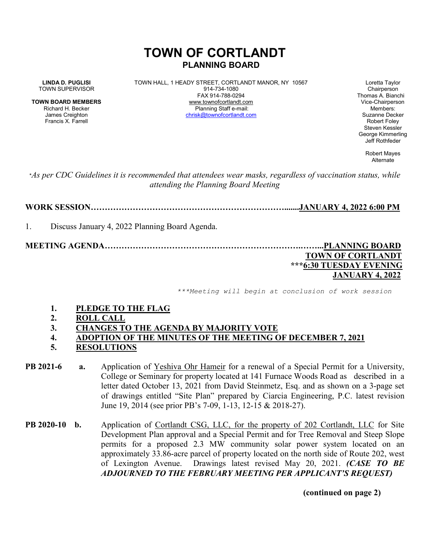# **TOWN OF CORTLANDT PLANNING BOARD**

**LINDA D. PUGLISI** TOWN HALL, 1 HEADY STREET, CORTLANDT MANOR, NY 10567 Loretta Taylor<br>Town SUPERVISOR Chairperson 914-734-1080 TOWN SUPERVISOR 814-734-1080<br>FAX 914-788-0294 **TOWN BOARD MEMBERS** www.townofcortlandt.com www.townofcontlandt.com Vice-Chairperson<br>Richard H. Becker **Blanning Staff e-mail** Richard H. Becker Planning Staff e-mail: Members:<br> Planning Staff e-mail: chrisk@townofcortlandt.com Suzanne Decker James Creighton christ<u>@townofcortlandt.com</u><br>Francis X Farrell

Thomas A. Bianchi Francis X. Farrell Robert Foley Steven Kessler George Kimmerling Jeff Rothfeder

> Robert Mayes Alternate

\**As per CDC Guidelines it is recommended that attendees wear masks, regardless of vaccination status, while attending the Planning Board Meeting*

**WORK SESSION…………………………………………………………….......JANUARY 4, 2022 6:00 PM**

1. Discuss January 4, 2022 Planning Board Agenda.

**MEETING AGENDA…………………………………………………………….……...PLANNING BOARD**

### **TOWN OF CORTLANDT \*\*\*6:30 TUESDAY EVENING JANUARY 4, 2022**

*\*\*\*Meeting will begin at conclusion of work session*

- **1. PLEDGE TO THE FLAG**
- **2. ROLL CALL**
- **3. CHANGES TO THE AGENDA BY MAJORITY VOTE**
- **4. ADOPTION OF THE MINUTES OF THE MEETING OF DECEMBER 7, 2021**
- **5. RESOLUTIONS**
- **PB 2021-6 a.** Application of Yeshiva Ohr Hameir for a renewal of a Special Permit for a University, College or Seminary for property located at 141 Furnace Woods Road as described in a letter dated October 13, 2021 from David Steinmetz, Esq. and as shown on a 3-page set of drawings entitled "Site Plan" prepared by Ciarcia Engineering, P.C. latest revision June 19, 2014 (see prior PB's 7-09, 1-13, 12-15 & 2018-27).
- **PB 2020-10 b.** Application of Cortlandt CSG, LLC, for the property of 202 Cortlandt, LLC for Site Development Plan approval and a Special Permit and for Tree Removal and Steep Slope permits for a proposed 2.3 MW community solar power system located on an approximately 33.86-acre parcel of property located on the north side of Route 202, west of Lexington Avenue. Drawings latest revised May 20, 2021. *(CASE TO BE ADJOURNED TO THE FEBRUARY MEETING PER APPLICANT'S REQUEST)*

**(continued on page 2)**